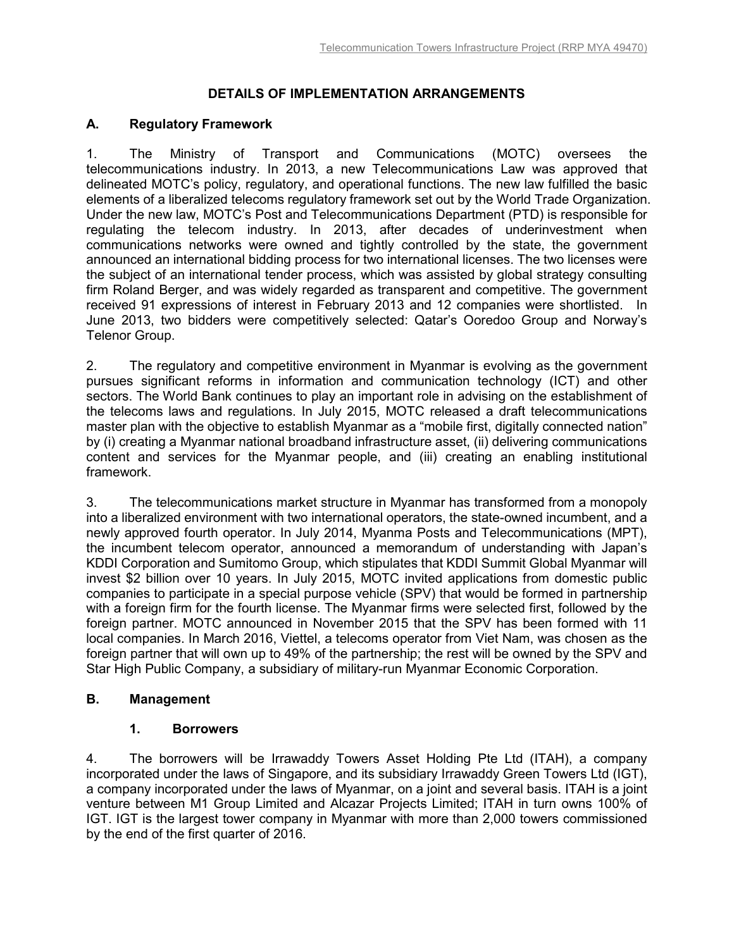# **DETAILS OF IMPLEMENTATION ARRANGEMENTS**

## **A. Regulatory Framework**

1. The Ministry of Transport and Communications (MOTC) oversees the telecommunications industry. In 2013, a new Telecommunications Law was approved that delineated MOTC's policy, regulatory, and operational functions. The new law fulfilled the basic elements of a liberalized telecoms regulatory framework set out by the World Trade Organization. Under the new law, MOTC's Post and Telecommunications Department (PTD) is responsible for regulating the telecom industry. In 2013, after decades of underinvestment when communications networks were owned and tightly controlled by the state, the government announced an international bidding process for two international licenses. The two licenses were the subject of an international tender process, which was assisted by global strategy consulting firm Roland Berger, and was widely regarded as transparent and competitive. The government received 91 expressions of interest in February 2013 and 12 companies were shortlisted. In June 2013, two bidders were competitively selected: Qatar's Ooredoo Group and Norway's Telenor Group.

2. The regulatory and competitive environment in Myanmar is evolving as the government pursues significant reforms in information and communication technology (ICT) and other sectors. The World Bank continues to play an important role in advising on the establishment of the telecoms laws and regulations. In July 2015, MOTC released a draft telecommunications master plan with the objective to establish Myanmar as a "mobile first, digitally connected nation" by (i) creating a Myanmar national broadband infrastructure asset, (ii) delivering communications content and services for the Myanmar people, and (iii) creating an enabling institutional framework.

3. The telecommunications market structure in Myanmar has transformed from a monopoly into a liberalized environment with two international operators, the state-owned incumbent, and a newly approved fourth operator. In July 2014, Myanma Posts and Telecommunications (MPT), the incumbent telecom operator, announced a memorandum of understanding with Japan's KDDI Corporation and Sumitomo Group, which stipulates that KDDI Summit Global Myanmar will invest \$2 billion over 10 years. In July 2015, MOTC invited applications from domestic public companies to participate in a special purpose vehicle (SPV) that would be formed in partnership with a foreign firm for the fourth license. The Myanmar firms were selected first, followed by the foreign partner. MOTC announced in November 2015 that the SPV has been formed with 11 local companies. In March 2016, Viettel, a telecoms operator from Viet Nam, was chosen as the foreign partner that will own up to 49% of the partnership; the rest will be owned by the SPV and Star High Public Company, a subsidiary of military-run Myanmar Economic Corporation.

#### **B. Management**

#### **1. Borrowers**

4. The borrowers will be Irrawaddy Towers Asset Holding Pte Ltd (ITAH), a company incorporated under the laws of Singapore, and its subsidiary Irrawaddy Green Towers Ltd (IGT), a company incorporated under the laws of Myanmar, on a joint and several basis. ITAH is a joint venture between M1 Group Limited and Alcazar Projects Limited; ITAH in turn owns 100% of IGT. IGT is the largest tower company in Myanmar with more than 2,000 towers commissioned by the end of the first quarter of 2016.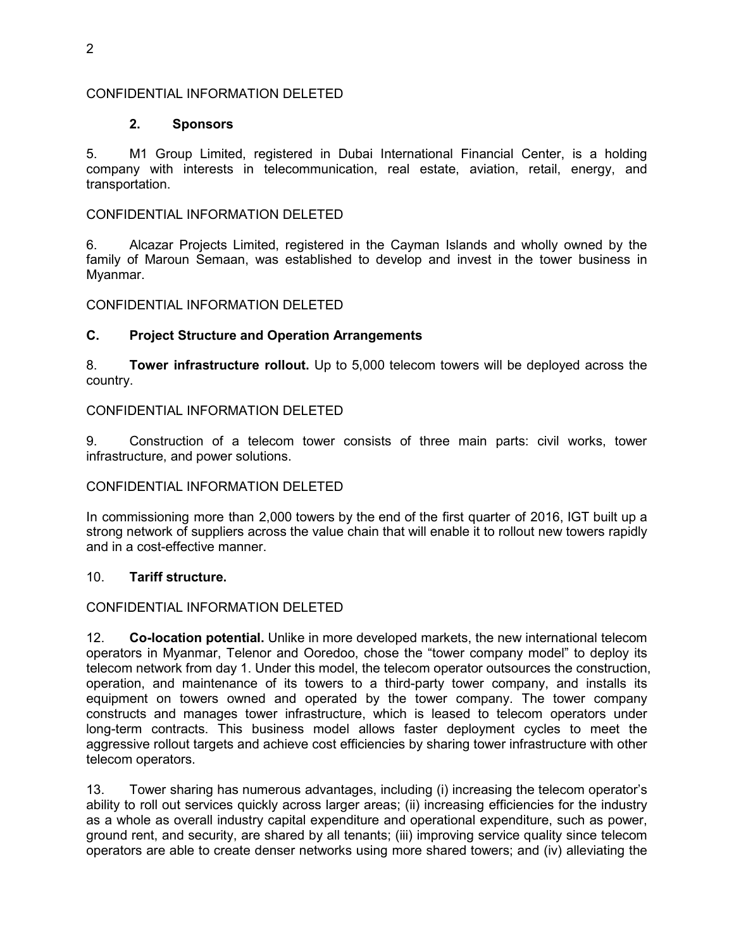### CONFIDENTIAL INFORMATION DELETED

# **2. Sponsors**

5. M1 Group Limited, registered in Dubai International Financial Center, is a holding company with interests in telecommunication, real estate, aviation, retail, energy, and transportation.

# CONFIDENTIAL INFORMATION DELETED

6. Alcazar Projects Limited, registered in the Cayman Islands and wholly owned by the family of Maroun Semaan, was established to develop and invest in the tower business in Myanmar.

# CONFIDENTIAL INFORMATION DELETED

# **C. Project Structure and Operation Arrangements**

8. **Tower infrastructure rollout.** Up to 5,000 telecom towers will be deployed across the country.

#### CONFIDENTIAL INFORMATION DELETED

9. Construction of a telecom tower consists of three main parts: civil works, tower infrastructure, and power solutions.

#### CONFIDENTIAL INFORMATION DELETED

In commissioning more than 2,000 towers by the end of the first quarter of 2016, IGT built up a strong network of suppliers across the value chain that will enable it to rollout new towers rapidly and in a cost-effective manner.

#### 10. **Tariff structure.**

#### CONFIDENTIAL INFORMATION DELETED

12. **Co-location potential.** Unlike in more developed markets, the new international telecom operators in Myanmar, Telenor and Ooredoo, chose the "tower company model" to deploy its telecom network from day 1. Under this model, the telecom operator outsources the construction, operation, and maintenance of its towers to a third-party tower company, and installs its equipment on towers owned and operated by the tower company. The tower company constructs and manages tower infrastructure, which is leased to telecom operators under long-term contracts. This business model allows faster deployment cycles to meet the aggressive rollout targets and achieve cost efficiencies by sharing tower infrastructure with other telecom operators.

13. Tower sharing has numerous advantages, including (i) increasing the telecom operator's ability to roll out services quickly across larger areas; (ii) increasing efficiencies for the industry as a whole as overall industry capital expenditure and operational expenditure, such as power, ground rent, and security, are shared by all tenants; (iii) improving service quality since telecom operators are able to create denser networks using more shared towers; and (iv) alleviating the